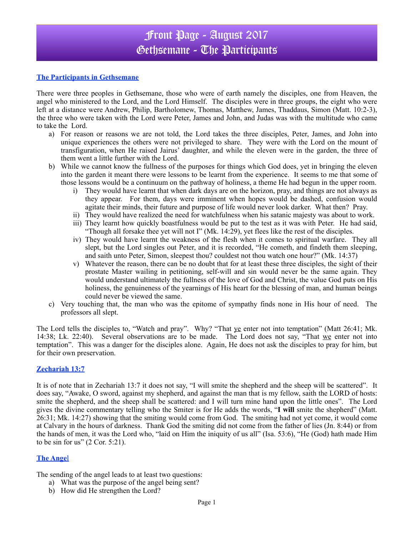## Front Page - August 2017 Gethsemane - The Participants

#### **The Participants in Gethsemane**

There were three peoples in Gethsemane, those who were of earth namely the disciples, one from Heaven, the angel who ministered to the Lord, and the Lord Himself. The disciples were in three groups, the eight who were left at a distance were Andrew, Philip, Bartholomew, Thomas, Matthew, James, Thaddaus, Simon (Matt. 10:2-3), the three who were taken with the Lord were Peter, James and John, and Judas was with the multitude who came to take the Lord.

- a) For reason or reasons we are not told, the Lord takes the three disciples, Peter, James, and John into unique experiences the others were not privileged to share. They were with the Lord on the mount of transfiguration, when He raised Jairus' daughter, and while the eleven were in the garden, the three of them went a little further with the Lord.
- b) While we cannot know the fullness of the purposes for things which God does, yet in bringing the eleven into the garden it meant there were lessons to be learnt from the experience. It seems to me that some of those lessons would be a continuum on the pathway of holiness, a theme He had begun in the upper room.
	- i) They would have learnt that when dark days are on the horizon, pray, and things are not always as they appear. For them, days were imminent when hopes would be dashed, confusion would agitate their minds, their future and purpose of life would never look darker. What then? Pray.
	- ii) They would have realized the need for watchfulness when his satanic majesty was about to work.
	- iii) They learnt how quickly boastfulness would be put to the test as it was with Peter. He had said, "Though all forsake thee yet will not I" (Mk. 14:29), yet flees like the rest of the disciples.
	- iv) They would have learnt the weakness of the flesh when it comes to spiritual warfare. They all slept, but the Lord singles out Peter, and it is recorded, "He cometh, and findeth them sleeping, and saith unto Peter, Simon, sleepest thou? couldest not thou watch one hour?" (Mk. 14:37)
	- v) Whatever the reason, there can be no doubt that for at least these three disciples, the sight of their prostate Master wailing in petitioning, self-will and sin would never be the same again. They would understand ultimately the fullness of the love of God and Christ, the value God puts on His holiness, the genuineness of the yearnings of His heart for the blessing of man, and human beings could never be viewed the same.
- c) Very touching that, the man who was the epitome of sympathy finds none in His hour of need. The professors all slept.

The Lord tells the disciples to, "Watch and pray". Why? "That ye enter not into temptation" (Matt 26:41; Mk. 14:38; Lk. 22:40). Several observations are to be made. The Lord does not say, "That we enter not into temptation". This was a danger for the disciples alone. Again, He does not ask the disciples to pray for him, but for their own preservation.

### **Zechariah 13:7**

It is of note that in Zechariah 13:7 it does not say, "I will smite the shepherd and the sheep will be scattered". It does say, "Awake, O sword, against my shepherd, and against the man that is my fellow, saith the LORD of hosts: smite the shepherd, and the sheep shall be scattered: and I will turn mine hand upon the little ones". The Lord gives the divine commentary telling who the Smiter is for He adds the words, "**I will** smite the shepherd" (Matt. 26:31; Mk. 14:27) showing that the smiting would come from God. The smiting had not yet come, it would come at Calvary in the hours of darkness. Thank God the smiting did not come from the father of lies (Jn. 8:44) or from the hands of men, it was the Lord who, "laid on Him the iniquity of us all" (Isa. 53:6), "He (God) hath made Him to be sin for us"  $(2$  Cor. 5:21).

### **The Ange**l

The sending of the angel leads to at least two questions:

- a) What was the purpose of the angel being sent?
- b) How did He strengthen the Lord?